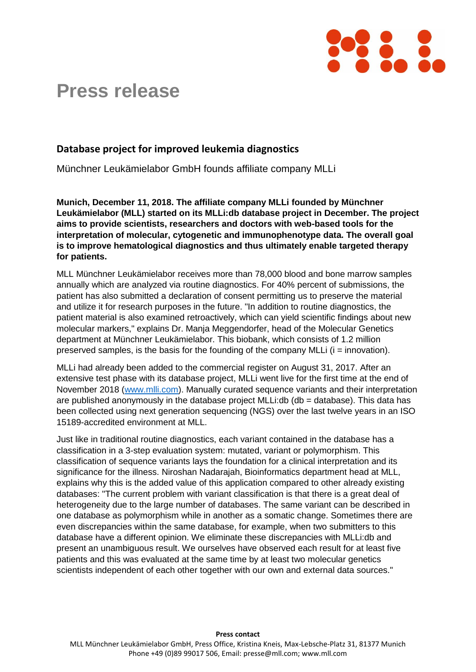

## **Press release**

## **Database project for improved leukemia diagnostics**

Münchner Leukämielabor GmbH founds affiliate company MLLi

**Munich, December 11, 2018. The affiliate company MLLi founded by Münchner Leukämielabor (MLL) started on its MLLi:db database project in December. The project aims to provide scientists, researchers and doctors with web-based tools for the interpretation of molecular, cytogenetic and immunophenotype data. The overall goal is to improve hematological diagnostics and thus ultimately enable targeted therapy for patients.**

MLL Münchner Leukämielabor receives more than 78,000 blood and bone marrow samples annually which are analyzed via routine diagnostics. For 40% percent of submissions, the patient has also submitted a declaration of consent permitting us to preserve the material and utilize it for research purposes in the future. "In addition to routine diagnostics, the patient material is also examined retroactively, which can yield scientific findings about new molecular markers," explains Dr. Manja Meggendorfer, head of the Molecular Genetics department at Münchner Leukämielabor. This biobank, which consists of 1.2 million preserved samples, is the basis for the founding of the company MLLi  $(i =$  innovation).

MLLi had already been added to the commercial register on August 31, 2017. After an extensive test phase with its database project, MLLi went live for the first time at the end of November 2018 [\(www.mlli.com\)](http://www.mlli.com/). Manually curated sequence variants and their interpretation are published anonymously in the database project MLLi:db (db = database). This data has been collected using next generation sequencing (NGS) over the last twelve years in an ISO 15189-accredited environment at MLL.

Just like in traditional routine diagnostics, each variant contained in the database has a classification in a 3-step evaluation system: mutated, variant or polymorphism. This classification of sequence variants lays the foundation for a clinical interpretation and its significance for the illness. Niroshan Nadarajah, Bioinformatics department head at MLL, explains why this is the added value of this application compared to other already existing databases: "The current problem with variant classification is that there is a great deal of heterogeneity due to the large number of databases. The same variant can be described in one database as polymorphism while in another as a somatic change. Sometimes there are even discrepancies within the same database, for example, when two submitters to this database have a different opinion. We eliminate these discrepancies with MLLi:db and present an unambiguous result. We ourselves have observed each result for at least five patients and this was evaluated at the same time by at least two molecular genetics scientists independent of each other together with our own and external data sources."